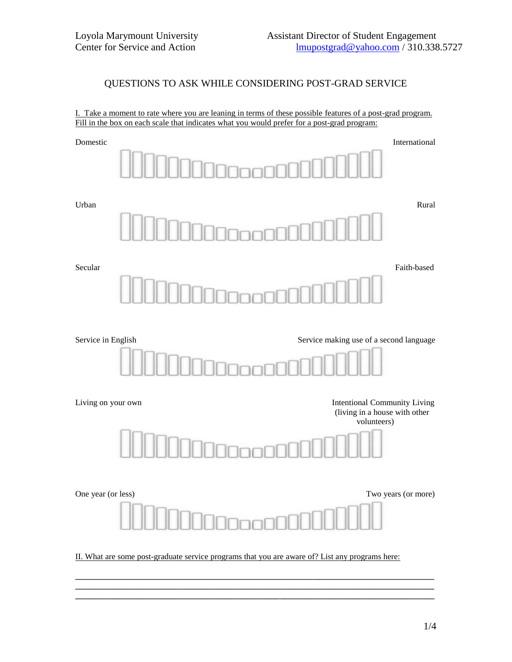## QUESTIONS TO ASK WHILE CONSIDERING POST-GRAD SERVICE

I. Take a moment to rate where you are leaning in terms of these possible features of a post-grad program. Fill in the box on each scale that indicates what you would prefer for a post-grad program:



**\_\_\_\_\_\_\_\_\_\_\_\_\_\_\_\_\_\_\_\_\_\_\_\_\_\_\_\_\_\_\_\_\_\_\_\_\_\_\_\_\_\_\_\_\_\_\_\_\_\_\_\_\_\_\_\_\_\_\_\_\_\_\_\_\_\_\_\_\_\_\_\_\_\_\_\_\_\_\_\_\_\_\_\_\_\_**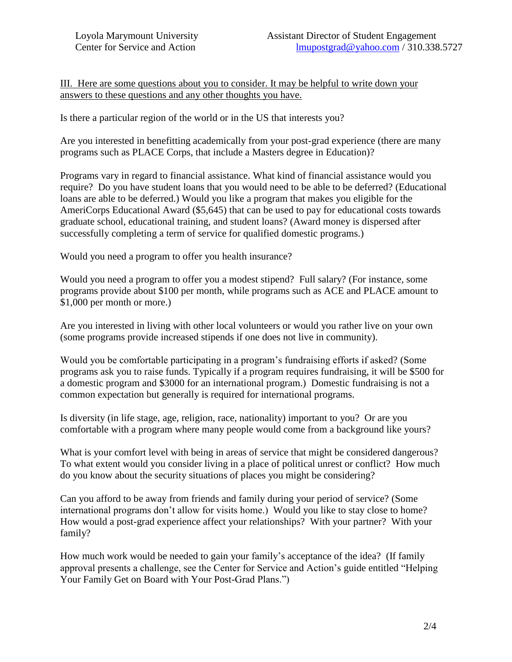III. Here are some questions about you to consider. It may be helpful to write down your answers to these questions and any other thoughts you have.

Is there a particular region of the world or in the US that interests you?

Are you interested in benefitting academically from your post-grad experience (there are many programs such as PLACE Corps, that include a Masters degree in Education)?

Programs vary in regard to financial assistance. What kind of financial assistance would you require? Do you have student loans that you would need to be able to be deferred? (Educational loans are able to be deferred.) Would you like a program that makes you eligible for the AmeriCorps Educational Award (\$5,645) that can be used to pay for educational costs towards graduate school, educational training, and student loans? (Award money is dispersed after successfully completing a term of service for qualified domestic programs.)

Would you need a program to offer you health insurance?

Would you need a program to offer you a modest stipend? Full salary? (For instance, some programs provide about \$100 per month, while programs such as ACE and PLACE amount to \$1,000 per month or more.)

Are you interested in living with other local volunteers or would you rather live on your own (some programs provide increased stipends if one does not live in community).

Would you be comfortable participating in a program's fundraising efforts if asked? (Some programs ask you to raise funds. Typically if a program requires fundraising, it will be \$500 for a domestic program and \$3000 for an international program.) Domestic fundraising is not a common expectation but generally is required for international programs.

Is diversity (in life stage, age, religion, race, nationality) important to you? Or are you comfortable with a program where many people would come from a background like yours?

What is your comfort level with being in areas of service that might be considered dangerous? To what extent would you consider living in a place of political unrest or conflict? How much do you know about the security situations of places you might be considering?

Can you afford to be away from friends and family during your period of service? (Some international programs don't allow for visits home.) Would you like to stay close to home? How would a post-grad experience affect your relationships? With your partner? With your family?

How much work would be needed to gain your family's acceptance of the idea? (If family approval presents a challenge, see the Center for Service and Action's guide entitled "Helping Your Family Get on Board with Your Post-Grad Plans.")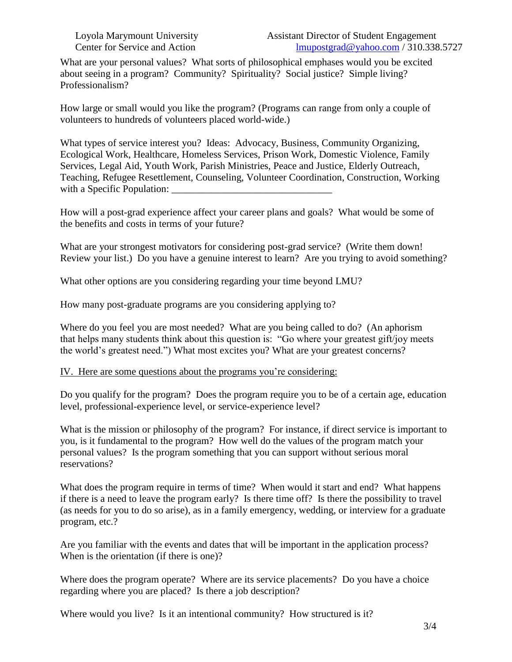What are your personal values? What sorts of philosophical emphases would you be excited about seeing in a program? Community? Spirituality? Social justice? Simple living? Professionalism?

How large or small would you like the program? (Programs can range from only a couple of volunteers to hundreds of volunteers placed world-wide.)

What types of service interest you? Ideas: Advocacy, Business, Community Organizing, Ecological Work, Healthcare, Homeless Services, Prison Work, Domestic Violence, Family Services, Legal Aid, Youth Work, Parish Ministries, Peace and Justice, Elderly Outreach, Teaching, Refugee Resettlement, Counseling, Volunteer Coordination, Construction, Working with a Specific Population:

How will a post-grad experience affect your career plans and goals? What would be some of the benefits and costs in terms of your future?

What are your strongest motivators for considering post-grad service? (Write them down! Review your list.) Do you have a genuine interest to learn? Are you trying to avoid something?

What other options are you considering regarding your time beyond LMU?

How many post-graduate programs are you considering applying to?

Where do you feel you are most needed? What are you being called to do? (An aphorism that helps many students think about this question is: "Go where your greatest gift/joy meets the world's greatest need.") What most excites you? What are your greatest concerns?

## IV. Here are some questions about the programs you're considering:

Do you qualify for the program? Does the program require you to be of a certain age, education level, professional-experience level, or service-experience level?

What is the mission or philosophy of the program? For instance, if direct service is important to you, is it fundamental to the program? How well do the values of the program match your personal values? Is the program something that you can support without serious moral reservations?

What does the program require in terms of time? When would it start and end? What happens if there is a need to leave the program early? Is there time off? Is there the possibility to travel (as needs for you to do so arise), as in a family emergency, wedding, or interview for a graduate program, etc.?

Are you familiar with the events and dates that will be important in the application process? When is the orientation (if there is one)?

Where does the program operate? Where are its service placements? Do you have a choice regarding where you are placed? Is there a job description?

Where would you live? Is it an intentional community? How structured is it?